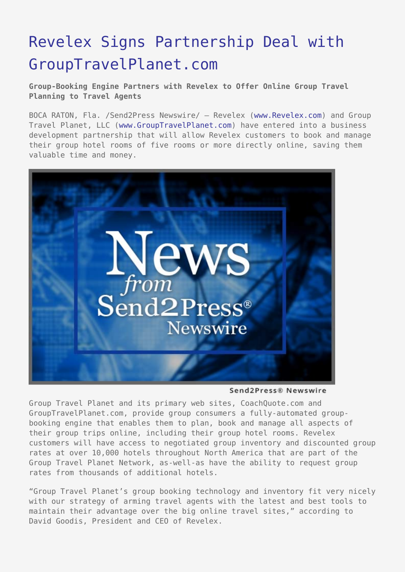## [Revelex Signs Partnership Deal with](https://www.send2press.com/wire/2005-02-0203-001/) [GroupTravelPlanet.com](https://www.send2press.com/wire/2005-02-0203-001/)

**Group-Booking Engine Partners with Revelex to Offer Online Group Travel Planning to Travel Agents**

BOCA RATON, Fla. /Send2Press Newswire/ — Revelex ([www.Revelex.com\)](http://www.Revelex.com) and Group Travel Planet, LLC ([www.GroupTravelPlanet.com\)](http://www.grouptravelplanet.com) have entered into a business development partnership that will allow Revelex customers to book and manage their group hotel rooms of five rooms or more directly online, saving them valuable time and money.



Send2Press® Newswire

Group Travel Planet and its primary web sites, CoachQuote.com and GroupTravelPlanet.com, provide group consumers a fully-automated groupbooking engine that enables them to plan, book and manage all aspects of their group trips online, including their group hotel rooms. Revelex customers will have access to negotiated group inventory and discounted group rates at over 10,000 hotels throughout North America that are part of the Group Travel Planet Network, as-well-as have the ability to request group rates from thousands of additional hotels.

"Group Travel Planet's group booking technology and inventory fit very nicely with our strategy of arming travel agents with the latest and best tools to maintain their advantage over the big online travel sites," according to David Goodis, President and CEO of Revelex.